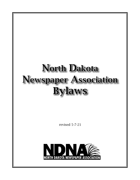# North Dakota Newspaper Association Bylaws

revised 5-7-21

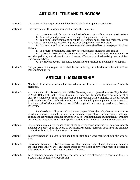# ARTICLE I - TITLE AND FUNCTIONS

- Section 1: The name of this corporation shall be North Dakota Newspaper Association.
- Section 2: The functions of the association shall include the following:

A: To promote and advance the standards of newspaper publication in North Dakota.

B: To develop and promote advertising techniques and services.

C: To promote legislation and speak for newspaper publishers and their employees in regard to legislative action affecting the publishing industry in this state.

D: To promote and protect the economic and general welfare of newspapers in North Dakota.

E: To provide preliminary legal advice to publishers on newspaper issues.

F: To provide programs and other services for the continued education of members and the gathering and dissemination of news, effective use of advertising, and efficient business practices.

G: To provide advertising sales, placement and services to member newspapers.

Section 3: The purposes of the organization shall be to conduct general business on behalf of North Dakota newspapers.

#### ARTICLE II - MEMBERSHIP

- Section 1: Members of the association shall be divided into two classes: Active Members and Associate Members.
- Section 2: Active members in this association shall be: (1) newspapers of general interest; (2) published in North Dakota at least weekly; (3) qualified under North Dakota law to do legal printing and (4) established for at least one year as a newspaper with a majority of its circulation paid. Application for membership must be accompanied by the payment of dues one year in advance, all of which shall be returned if the application is not approved by the Board of Directors.

Membership shall be vested in the newspaper. When the publisher, or other authorized staff executives, shall, because of a change in ownership, or other reason, no longer continue to represent a member newspaper, such termination shall automatically terminate any elective or appointive office or positions that individual may have in the association.

- Section 3: Any person not qualified for active membership in the association may become an associate member by approval of the Board of Directors. Associate members shall have the privilege of the floor but shall not be permitted to vote.
- Section 4: Past Presidents of this association shall be entitled to a voting membership in the association.
- Section 5: This association may, by two-thirds vote of all members present at a regular annual business meeting, suspend or cancel any membership for violation of any of the rules or policies of this association or for conduct unbecoming thereto.
- Section 6: Each member newspaper must send the Association free of charge five copies of its newspaper within 48 hours of publication.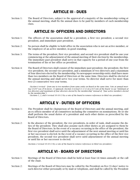# ARTICLE III - DUES

Section 1: The Board of Directors, subject to the approval of a majority of the membership voting at the annual meeting, shall fix the annual dues to be paid by members of each membership class.

## ARTICLE IV- OFFICERS AND DIRECTORS

- Section 1: The officers of the association shall be a president, a first vice president, a second vice president, and immediate past president.
- Section 2: No person shall be eligible to hold office in the association who is not an active member, or the employee of an active member, in good standing.
- Section 3: The terms of the president, first vice president, and second vice president shall be one year commencing at the adjournment of the annual meeting of their election by the membership. The immediate past president shall serve in that capacity for a period of one year from the termination of his or her office as president.
- Section 4: The Board of Directors shall consist of the immediate past president, the president, the first vice president, the second vice president, and a minimum of two directors and a maximum of four directors elected by the membership. No newspaper ownership entity shall have more than two members on the Board of Directors at the same time. Directors shall be elected at the annual meeting and shall serve two year terms. No director shall serve for more than two (2) consecutive two year terms.

*(Section 4 revised – from one to two members from same entity on Board at the same time. Vote at annual meeting 5/4/07 was 29 in favor, 13 opposed). (Section 4 revised 11-2-12 on a 6-0 vote of the board to say "minimum of two directors and maximum of four directors elected by the membership" instead of "four active members elected by the membership.")*

*(Sections 1, 2, and 4 revised 10-10-13 by a vote of the board to remove references to third vice president.)*

## ARTICLE V - DUTIES OF OFFICERS

- Section 1: The President shall be chairperson of the Board of Directors and the annual meeting, and an ex officio member of all committees including the committee on nominations. He or she shall perform the usual duties of a president and such other duties as prescribed by the Board of Directors.
- Section 2: In the absence of the president, the vice presidents, in order of rank, shall assume the duties of the president. They shall also assume such other duties as are assigned to them by the Board of Directors. In the event of a vacancy occurring in the office of the president, the first vice president shall serve until the adjournment of the next annual meeting or until his or her successor is elected. In the event of a vacancy occurring in the office of the first vice president, the second vice president shall serve until adjournment of the annual meeting or until his or her successor is elected.

*(Sections 2 revised 10-10-13 by a vote of the board to remove references to third vice president.)*

## ARTICLE VI - BOARD OF DIRECTORS

- Section 1: Meetings of the Board of Directors shall be held at least four (4) times annually at the call of the chair.
- Section 2: Meetings of the Board of Directors may be called by the President on five (5) days' notice to each director either personally or by mail or telephone, and shall be called by the President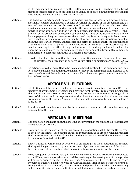in like manner and on like notice on the written request of five (5) members of the board. Meetings shall be held at such time and place as may be specified in the notice thereof, and need not be held within the State of North Dakota.

- Section 3: The Board of Directors shall transact the general business of association between annual meetings, establish administrative policies governing the affairs of the association and devise and execute measures for the association's growth and development. The board shall provide and maintain headquarters space for the association and such office space as the activities of the association and the work of its officers and employees may require. It shall provide for the proper care of materials, equipment and funds of the association and provide for the payment of legitimate expenses thereof and may borrow money as it deems necessary. It shall act upon applications for membership, and it may at its discretion appoint an executive secretary, secretary, and treasurer and define the duties and fix the compensation of same. It shall have the power to fill any vacancies on the Board of Directors except vacancies occurring in the office of the president or one of the vice presidents. It shall decide upon the date and place for the annual meeting. It may appoint subcommittees among its membership to perform such duties as it deems appropriate.
- Section 4: No director shall miss more than two quarterly meetings per year. By action of the board of directors, the office may be declared vacant after two meetings are missed. *(adopted 9/21/05).*
- Section 5: An action required or permitted to be taken at a board meeting by the directors, such as a vote, may be taken by an authenticated means of electronic communications available to all board members and that indicates the individual board members participation by identification. *(adopted 5/7/21).*

## ARTICLE VII - ELECTIONS

- Section 1: All elections shall be by secret ballot, except when there is no contest. Only one (1) representative of any member newspaper shall have the right to vote. Group-owned newspapers shall designate one person to represent it in any voting situation except meetings of the board of directors, and that representative shall have the same number of votes as there are newspapers in the group. A majority of votes cast is necessary for election. (adopted 1/23/2013).
- Section 2: In addition to the nominations made by the nominations committee, other nominations may be made from the floor.

#### ARTICLE VIII - MEETINGS

- Section 1: The association shall hold an annual meeting or convention at the time and place designated by the Board of Directors.
- Section 2: A quorum for the transaction of the business of the association shall be fifteen (15) percent of the active members. For quorum purposes, representatives of group-owned newspapers shall be considered as individual members and not representatives of the total newspapers in the group. (adopted 1/23/2013).
- Section 3: Robert's Rules of Order shall be followed in all meetings of the association. No member shall speak longer than ten (10) minutes on one subject without permission of the chair. A two-thirds vote of the members shall be required to overrule a ruling of the chair.
- Section 4: Proxy voting shall be allowed at any NDNA meeting. Proxies must be in writing and submitted to the NDNA president, or whomever shall be presiding at the meeting at which the proxies will be used, prior to the start of that meeting. Proxies may only be given to and exercised by persons otherwise eligible to vote at NDNA meetings. Proxies may be general grants of voting authority, or may specify particular issues and particular votes thereon. Proxies may be for a specific date or for a specific time period, but may not extend beyond eleven months